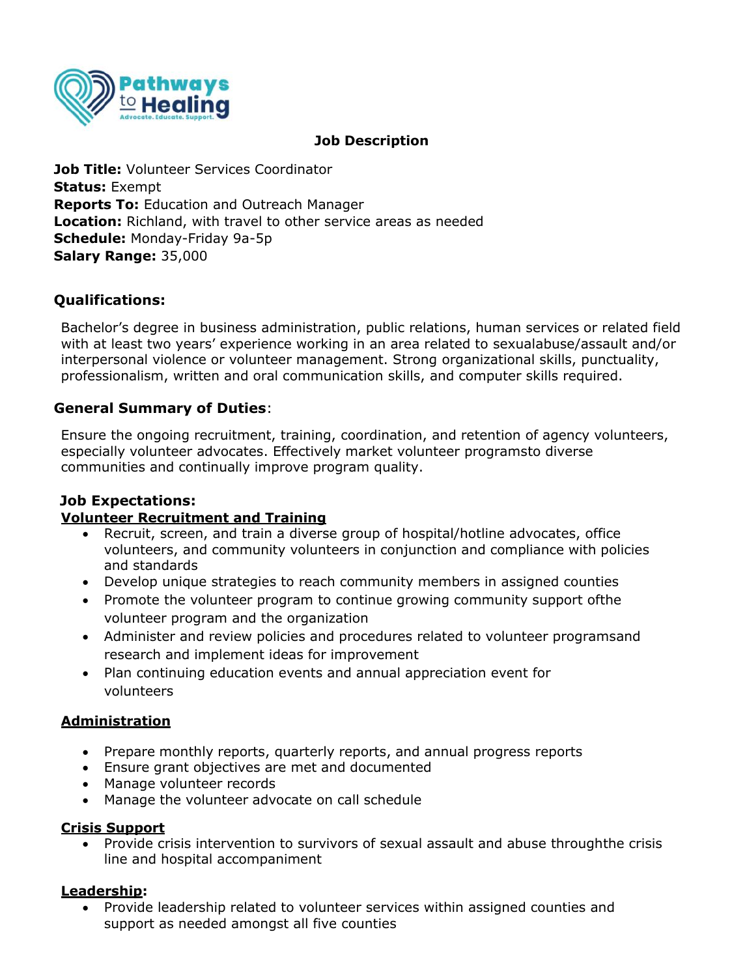

## **Job Description**

**Job Title:** Volunteer Services Coordinator **Status:** Exempt **Reports To:** Education and Outreach Manager **Location:** Richland, with travel to other service areas as needed **Schedule:** Monday-Friday 9a-5p **Salary Range:** 35,000

# **Qualifications:**

Bachelor's degree in business administration, public relations, human services or related field with at least two years' experience working in an area related to sexualabuse/assault and/or interpersonal violence or volunteer management. Strong organizational skills, punctuality, professionalism, written and oral communication skills, and computer skills required.

# **General Summary of Duties**:

Ensure the ongoing recruitment, training, coordination, and retention of agency volunteers, especially volunteer advocates. Effectively market volunteer programsto diverse communities and continually improve program quality.

## **Job Expectations:**

## **Volunteer Recruitment and Training**

- Recruit, screen, and train a diverse group of hospital/hotline advocates, office volunteers, and community volunteers in conjunction and compliance with policies and standards
- Develop unique strategies to reach community members in assigned counties
- Promote the volunteer program to continue growing community support ofthe volunteer program and the organization
- Administer and review policies and procedures related to volunteer programsand research and implement ideas for improvement
- Plan continuing education events and annual appreciation event for volunteers

## **Administration**

- Prepare monthly reports, quarterly reports, and annual progress reports
- Ensure grant objectives are met and documented
- Manage volunteer records
- Manage the volunteer advocate on call schedule

### **Crisis Support**

• Provide crisis intervention to survivors of sexual assault and abuse throughthe crisis line and hospital accompaniment

### **Leadership:**

• Provide leadership related to volunteer services within assigned counties and support as needed amongst all five counties